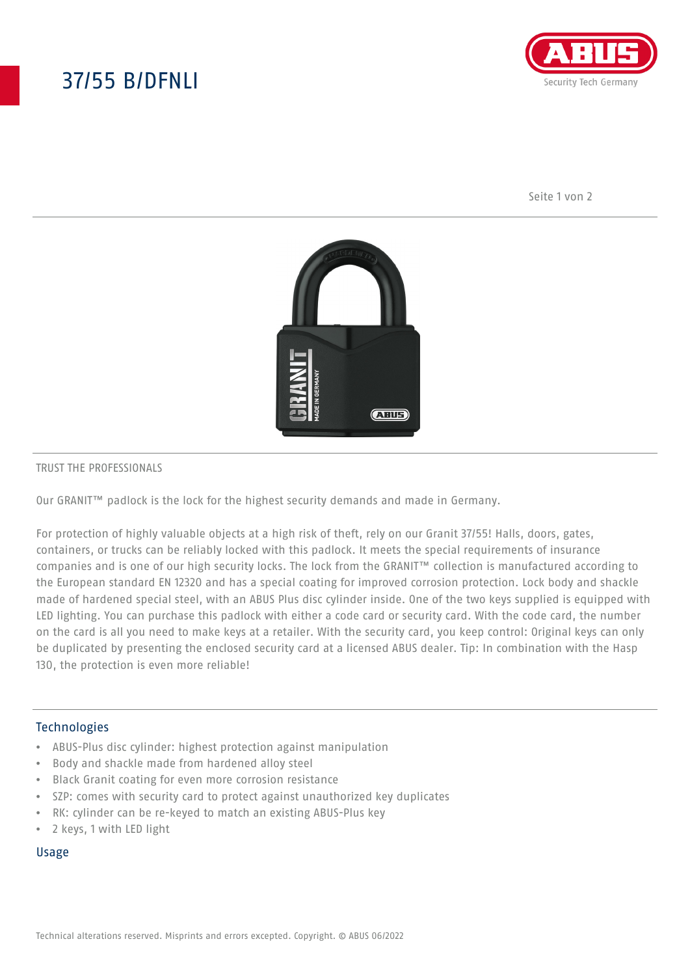# 37/55 B/DFNLI



Seite 1 von 2



#### TRUST THE PROFESSIONALS

Our GRANIT™ padlock is the lock for the highest security demands and made in Germany.

For protection of highly valuable objects at a high risk of theft, rely on our Granit 37/55! Halls, doors, gates, containers, or trucks can be reliably locked with this padlock. It meets the special requirements of insurance companies and is one of our high security locks. The lock from the GRANIT™ collection is manufactured according to the European standard EN 12320 and has a special coating for improved corrosion protection. Lock body and shackle made of hardened special steel, with an ABUS Plus disc cylinder inside. One of the two keys supplied is equipped with LED lighting. You can purchase this padlock with either a code card or security card. With the code card, the number on the card is all you need to make keys at a retailer. With the security card, you keep control: Original keys can only be duplicated by presenting the enclosed security card at a licensed ABUS dealer. Tip: In combination with the Hasp 130, the protection is even more reliable!

### Technologies

- ABUS-Plus disc cylinder: highest protection against manipulation
- Body and shackle made from hardened alloy steel
- Black Granit coating for even more corrosion resistance
- SZP: comes with security card to protect against unauthorized key duplicates
- RK: cylinder can be re-keyed to match an existing ABUS-Plus key
- 2 keys, 1 with LED light

#### Usage